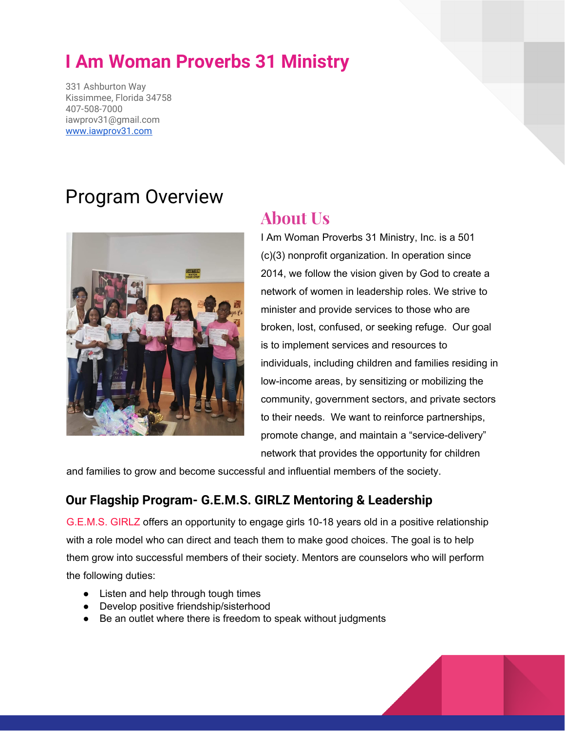# **I Am Woman Proverbs 31 Ministry**

331 Ashburton Way Kissimmee, Florida 34758 407-508-7000 iawprov31@gmail.com [www.iawprov31.com](http://www.iawprov31.com/)

## Program Overview



## **About Us**

I Am Woman Proverbs 31 Ministry, Inc. is a 501 (c)(3) nonprofit organization. In operation since 2014, we follow the vision given by God to create a network of women in leadership roles. We strive to minister and provide services to those who are broken, lost, confused, or seeking refuge. Our goal is to implement services and resources to individuals, including children and families residing in low-income areas, by sensitizing or mobilizing the community, government sectors, and private sectors to their needs. We want to reinforce partnerships, promote change, and maintain a "service-delivery" network that provides the opportunity for children

and families to grow and become successful and influential members of the society.

### **Our Flagship Program- G.E.M.S. GIRLZ Mentoring & Leadership**

G.E.M.S. GIRLZ offers an opportunity to engage girls 10-18 years old in a positive relationship with a role model who can direct and teach them to make good choices. The goal is to help them grow into successful members of their society. Mentors are counselors who will perform the following duties:

- **●** Listen and help through tough times
- **●** Develop positive friendship/sisterhood
- **●** Be an outlet where there is freedom to speak without judgments